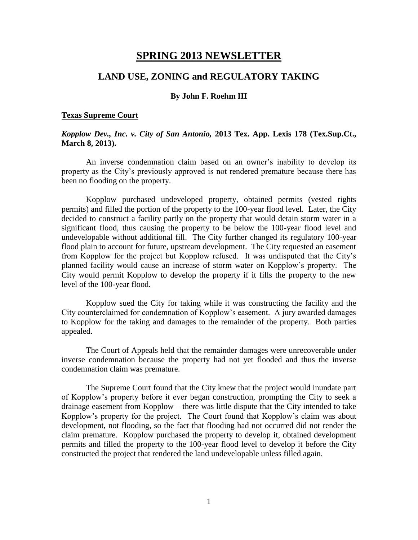# **SPRING 2013 NEWSLETTER**

## **LAND USE, ZONING and REGULATORY TAKING**

#### **By John F. Roehm III**

#### **Texas Supreme Court**

## *Kopplow Dev., Inc. v. City of San Antonio,* **2013 Tex. App. Lexis 178 (Tex.Sup.Ct., March 8, 2013).**

An inverse condemnation claim based on an owner's inability to develop its property as the City's previously approved is not rendered premature because there has been no flooding on the property.

Kopplow purchased undeveloped property, obtained permits (vested rights permits) and filled the portion of the property to the 100-year flood level. Later, the City decided to construct a facility partly on the property that would detain storm water in a significant flood, thus causing the property to be below the 100-year flood level and undevelopable without additional fill. The City further changed its regulatory 100-year flood plain to account for future, upstream development. The City requested an easement from Kopplow for the project but Kopplow refused. It was undisputed that the City's planned facility would cause an increase of storm water on Kopplow's property. The City would permit Kopplow to develop the property if it fills the property to the new level of the 100-year flood.

Kopplow sued the City for taking while it was constructing the facility and the City counterclaimed for condemnation of Kopplow's easement. A jury awarded damages to Kopplow for the taking and damages to the remainder of the property. Both parties appealed.

The Court of Appeals held that the remainder damages were unrecoverable under inverse condemnation because the property had not yet flooded and thus the inverse condemnation claim was premature.

The Supreme Court found that the City knew that the project would inundate part of Kopplow's property before it ever began construction, prompting the City to seek a drainage easement from Kopplow – there was little dispute that the City intended to take Kopplow's property for the project. The Court found that Kopplow's claim was about development, not flooding, so the fact that flooding had not occurred did not render the claim premature. Kopplow purchased the property to develop it, obtained development permits and filled the property to the 100-year flood level to develop it before the City constructed the project that rendered the land undevelopable unless filled again.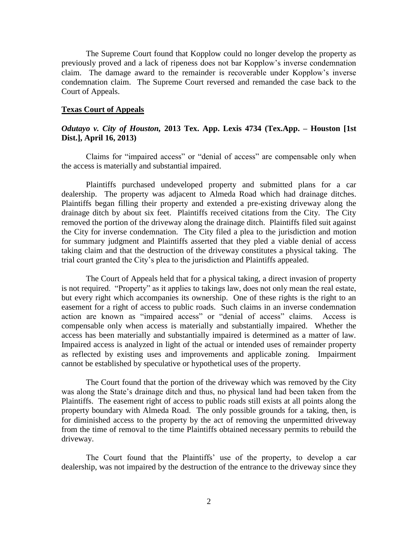The Supreme Court found that Kopplow could no longer develop the property as previously proved and a lack of ripeness does not bar Kopplow's inverse condemnation claim. The damage award to the remainder is recoverable under Kopplow's inverse condemnation claim. The Supreme Court reversed and remanded the case back to the Court of Appeals.

#### **Texas Court of Appeals**

## *Odutayo v. City of Houston,* **2013 Tex. App. Lexis 4734 (Tex.App. – Houston [1st Dist.], April 16, 2013)**

Claims for "impaired access" or "denial of access" are compensable only when the access is materially and substantial impaired.

Plaintiffs purchased undeveloped property and submitted plans for a car dealership. The property was adjacent to Almeda Road which had drainage ditches. Plaintiffs began filling their property and extended a pre-existing driveway along the drainage ditch by about six feet. Plaintiffs received citations from the City. The City removed the portion of the driveway along the drainage ditch. Plaintiffs filed suit against the City for inverse condemnation. The City filed a plea to the jurisdiction and motion for summary judgment and Plaintiffs asserted that they pled a viable denial of access taking claim and that the destruction of the driveway constitutes a physical taking. The trial court granted the City's plea to the jurisdiction and Plaintiffs appealed.

The Court of Appeals held that for a physical taking, a direct invasion of property is not required. "Property" as it applies to takings law, does not only mean the real estate, but every right which accompanies its ownership. One of these rights is the right to an easement for a right of access to public roads. Such claims in an inverse condemnation action are known as "impaired access" or "denial of access" claims. Access is compensable only when access is materially and substantially impaired. Whether the access has been materially and substantially impaired is determined as a matter of law. Impaired access is analyzed in light of the actual or intended uses of remainder property as reflected by existing uses and improvements and applicable zoning. Impairment cannot be established by speculative or hypothetical uses of the property.

The Court found that the portion of the driveway which was removed by the City was along the State's drainage ditch and thus, no physical land had been taken from the Plaintiffs. The easement right of access to public roads still exists at all points along the property boundary with Almeda Road. The only possible grounds for a taking, then, is for diminished access to the property by the act of removing the unpermitted driveway from the time of removal to the time Plaintiffs obtained necessary permits to rebuild the driveway.

The Court found that the Plaintiffs' use of the property, to develop a car dealership, was not impaired by the destruction of the entrance to the driveway since they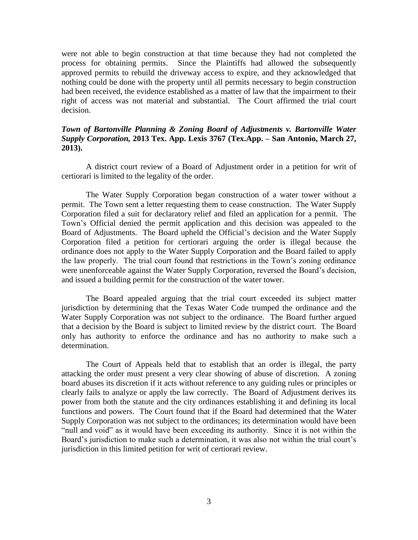were not able to begin construction at that time because they had not completed the process for obtaining permits. Since the Plaintiffs had allowed the subsequently approved permits to rebuild the driveway access to expire, and they acknowledged that nothing could be done with the property until all permits necessary to begin construction had been received, the evidence established as a matter of law that the impairment to their right of access was not material and substantial. The Court affirmed the trial court decision.

## *Town of Bartonville Planning & Zoning Board of Adjustments v. Bartonville Water Supply Corporation,* **2013 Tex. App. Lexis 3767 (Tex.App. – San Antonio, March 27, 2013).**

A district court review of a Board of Adjustment order in a petition for writ of certiorari is limited to the legality of the order.

The Water Supply Corporation began construction of a water tower without a permit. The Town sent a letter requesting them to cease construction. The Water Supply Corporation filed a suit for declaratory relief and filed an application for a permit. The Town's Official denied the permit application and this decision was appealed to the Board of Adjustments. The Board upheld the Official's decision and the Water Supply Corporation filed a petition for certiorari arguing the order is illegal because the ordinance does not apply to the Water Supply Corporation and the Board failed to apply the law properly. The trial court found that restrictions in the Town's zoning ordinance were unenforceable against the Water Supply Corporation, reversed the Board's decision, and issued a building permit for the construction of the water tower.

The Board appealed arguing that the trial court exceeded its subject matter jurisdiction by determining that the Texas Water Code trumped the ordinance and the Water Supply Corporation was not subject to the ordinance. The Board further argued that a decision by the Board is subject to limited review by the district court. The Board only has authority to enforce the ordinance and has no authority to make such a determination.

The Court of Appeals held that to establish that an order is illegal, the party attacking the order must present a very clear showing of abuse of discretion. A zoning board abuses its discretion if it acts without reference to any guiding rules or principles or clearly fails to analyze or apply the law correctly. The Board of Adjustment derives its power from both the statute and the city ordinances establishing it and defining its local functions and powers. The Court found that if the Board had determined that the Water Supply Corporation was not subject to the ordinances; its determination would have been "null and void" as it would have been exceeding its authority. Since it is not within the Board's jurisdiction to make such a determination, it was also not within the trial court's jurisdiction in this limited petition for writ of certiorari review.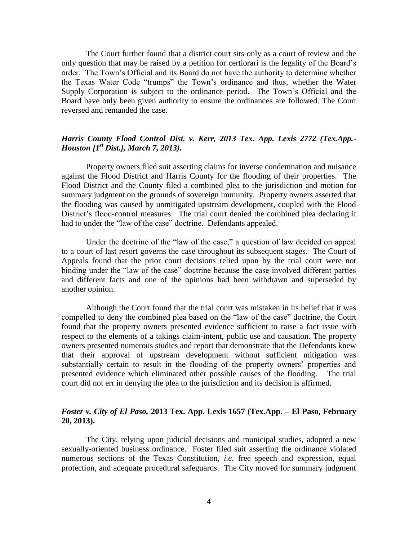The Court further found that a district court sits only as a court of review and the only question that may be raised by a petition for certiorari is the legality of the Board's order. The Town's Official and its Board do not have the authority to determine whether the Texas Water Code "trumps" the Town's ordinance and thus, whether the Water Supply Corporation is subject to the ordinance period. The Town's Official and the Board have only been given authority to ensure the ordinances are followed. The Court reversed and remanded the case.

## *Harris County Flood Control Dist. v. Kerr, 2013 Tex. App. Lexis 2772 (Tex.App.- Houston [1st Dist.], March 7, 2013).*

Property owners filed suit asserting claims for inverse condemnation and nuisance against the Flood District and Harris County for the flooding of their properties. The Flood District and the County filed a combined plea to the jurisdiction and motion for summary judgment on the grounds of sovereign immunity. Property owners asserted that the flooding was caused by unmitigated upstream development, coupled with the Flood District's flood-control measures. The trial court denied the combined plea declaring it had to under the "law of the case" doctrine. Defendants appealed.

Under the doctrine of the "law of the case," a question of law decided on appeal to a court of last resort governs the case throughout its subsequent stages. The Court of Appeals found that the prior court decisions relied upon by the trial court were not binding under the "law of the case" doctrine because the case involved different parties and different facts and one of the opinions had been withdrawn and superseded by another opinion.

Although the Court found that the trial court was mistaken in its belief that it was compelled to deny the combined plea based on the "law of the case" doctrine, the Court found that the property owners presented evidence sufficient to raise a fact issue with respect to the elements of a takings claim-intent, public use and causation. The property owners presented numerous studies and report that demonstrate that the Defendants knew that their approval of upstream development without sufficient mitigation was substantially certain to result in the flooding of the property owners' properties and presented evidence which eliminated other possible causes of the flooding. The trial court did not err in denying the plea to the jurisdiction and its decision is affirmed.

## *Foster v. City of El Paso,* **2013 Tex. App. Lexis 1657 (Tex.App. – El Paso, February 20, 2013).**

The City, relying upon judicial decisions and municipal studies, adopted a new sexually-oriented business ordinance. Foster filed suit asserting the ordinance violated numerous sections of the Texas Constitution, *i.e.* free speech and expression, equal protection, and adequate procedural safeguards. The City moved for summary judgment